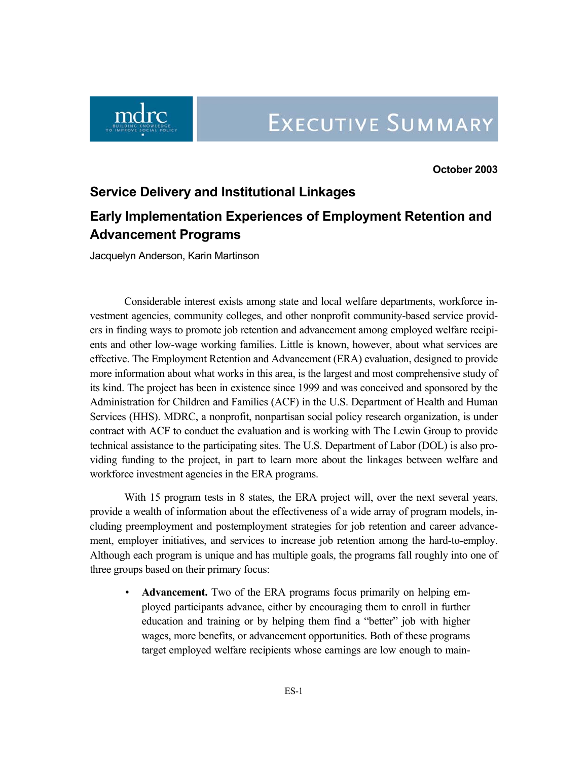

**October 2003** 

#### **Service Delivery and Institutional Linkages**

# **Early Implementation Experiences of Employment Retention and Advancement Programs**

Jacquelyn Anderson, Karin Martinson

Considerable interest exists among state and local welfare departments, workforce investment agencies, community colleges, and other nonprofit community-based service providers in finding ways to promote job retention and advancement among employed welfare recipients and other low-wage working families. Little is known, however, about what services are effective. The Employment Retention and Advancement (ERA) evaluation, designed to provide more information about what works in this area, is the largest and most comprehensive study of its kind. The project has been in existence since 1999 and was conceived and sponsored by the Administration for Children and Families (ACF) in the U.S. Department of Health and Human Services (HHS). MDRC, a nonprofit, nonpartisan social policy research organization, is under contract with ACF to conduct the evaluation and is working with The Lewin Group to provide technical assistance to the participating sites. The U.S. Department of Labor (DOL) is also providing funding to the project, in part to learn more about the linkages between welfare and workforce investment agencies in the ERA programs.

With 15 program tests in 8 states, the ERA project will, over the next several years, provide a wealth of information about the effectiveness of a wide array of program models, including preemployment and postemployment strategies for job retention and career advancement, employer initiatives, and services to increase job retention among the hard-to-employ. Although each program is unique and has multiple goals, the programs fall roughly into one of three groups based on their primary focus:

• **Advancement.** Two of the ERA programs focus primarily on helping employed participants advance, either by encouraging them to enroll in further education and training or by helping them find a "better" job with higher wages, more benefits, or advancement opportunities. Both of these programs target employed welfare recipients whose earnings are low enough to main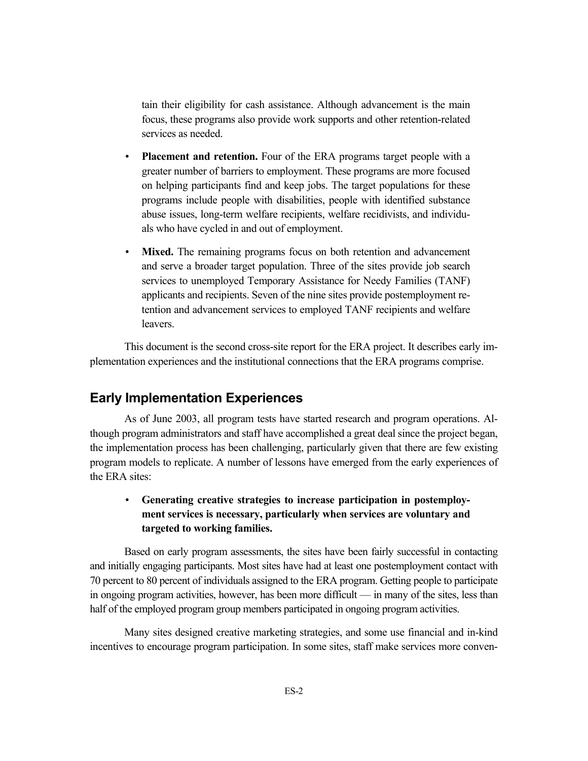tain their eligibility for cash assistance. Although advancement is the main focus, these programs also provide work supports and other retention-related services as needed.

- **Placement and retention.** Four of the ERA programs target people with a greater number of barriers to employment. These programs are more focused on helping participants find and keep jobs. The target populations for these programs include people with disabilities, people with identified substance abuse issues, long-term welfare recipients, welfare recidivists, and individuals who have cycled in and out of employment.
- **Mixed.** The remaining programs focus on both retention and advancement and serve a broader target population. Three of the sites provide job search services to unemployed Temporary Assistance for Needy Families (TANF) applicants and recipients. Seven of the nine sites provide postemployment retention and advancement services to employed TANF recipients and welfare leavers.

This document is the second cross-site report for the ERA project. It describes early implementation experiences and the institutional connections that the ERA programs comprise.

# **Early Implementation Experiences**

As of June 2003, all program tests have started research and program operations. Although program administrators and staff have accomplished a great deal since the project began, the implementation process has been challenging, particularly given that there are few existing program models to replicate. A number of lessons have emerged from the early experiences of the ERA sites:

## • **Generating creative strategies to increase participation in postemployment services is necessary, particularly when services are voluntary and targeted to working families.**

Based on early program assessments, the sites have been fairly successful in contacting and initially engaging participants. Most sites have had at least one postemployment contact with 70 percent to 80 percent of individuals assigned to the ERA program. Getting people to participate in ongoing program activities, however, has been more difficult — in many of the sites, less than half of the employed program group members participated in ongoing program activities.

Many sites designed creative marketing strategies, and some use financial and in-kind incentives to encourage program participation. In some sites, staff make services more conven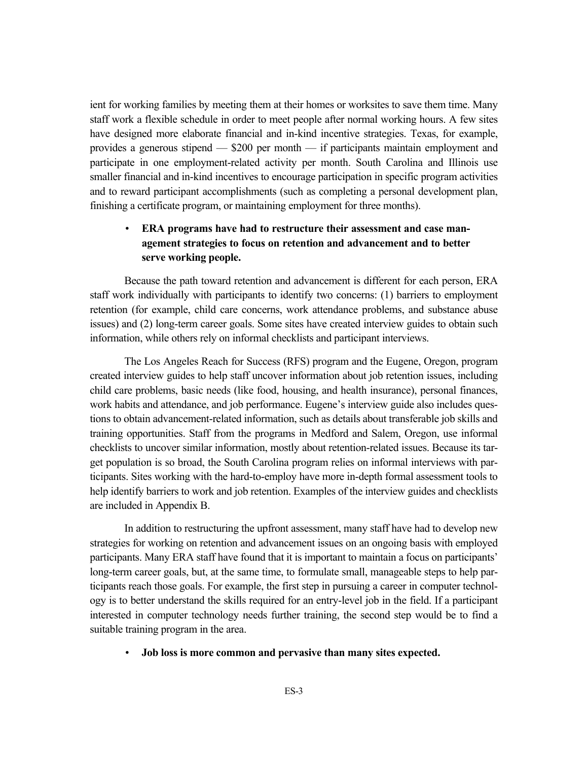ient for working families by meeting them at their homes or worksites to save them time. Many staff work a flexible schedule in order to meet people after normal working hours. A few sites have designed more elaborate financial and in-kind incentive strategies. Texas, for example, provides a generous stipend — \$200 per month — if participants maintain employment and participate in one employment-related activity per month. South Carolina and Illinois use smaller financial and in-kind incentives to encourage participation in specific program activities and to reward participant accomplishments (such as completing a personal development plan, finishing a certificate program, or maintaining employment for three months).

#### • **ERA programs have had to restructure their assessment and case management strategies to focus on retention and advancement and to better serve working people.**

Because the path toward retention and advancement is different for each person, ERA staff work individually with participants to identify two concerns: (1) barriers to employment retention (for example, child care concerns, work attendance problems, and substance abuse issues) and (2) long-term career goals. Some sites have created interview guides to obtain such information, while others rely on informal checklists and participant interviews.

The Los Angeles Reach for Success (RFS) program and the Eugene, Oregon, program created interview guides to help staff uncover information about job retention issues, including child care problems, basic needs (like food, housing, and health insurance), personal finances, work habits and attendance, and job performance. Eugene's interview guide also includes questions to obtain advancement-related information, such as details about transferable job skills and training opportunities. Staff from the programs in Medford and Salem, Oregon, use informal checklists to uncover similar information, mostly about retention-related issues. Because its target population is so broad, the South Carolina program relies on informal interviews with participants. Sites working with the hard-to-employ have more in-depth formal assessment tools to help identify barriers to work and job retention. Examples of the interview guides and checklists are included in Appendix B.

In addition to restructuring the upfront assessment, many staff have had to develop new strategies for working on retention and advancement issues on an ongoing basis with employed participants. Many ERA staff have found that it is important to maintain a focus on participants' long-term career goals, but, at the same time, to formulate small, manageable steps to help participants reach those goals. For example, the first step in pursuing a career in computer technology is to better understand the skills required for an entry-level job in the field. If a participant interested in computer technology needs further training, the second step would be to find a suitable training program in the area.

#### • **Job loss is more common and pervasive than many sites expected.**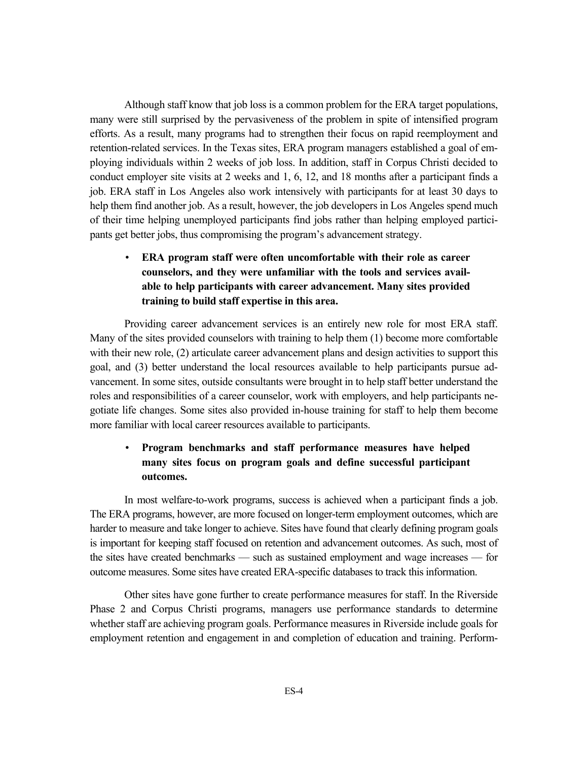Although staff know that job loss is a common problem for the ERA target populations, many were still surprised by the pervasiveness of the problem in spite of intensified program efforts. As a result, many programs had to strengthen their focus on rapid reemployment and retention-related services. In the Texas sites, ERA program managers established a goal of employing individuals within 2 weeks of job loss. In addition, staff in Corpus Christi decided to conduct employer site visits at 2 weeks and 1, 6, 12, and 18 months after a participant finds a job. ERA staff in Los Angeles also work intensively with participants for at least 30 days to help them find another job. As a result, however, the job developers in Los Angeles spend much of their time helping unemployed participants find jobs rather than helping employed participants get better jobs, thus compromising the program's advancement strategy.

### • **ERA program staff were often uncomfortable with their role as career counselors, and they were unfamiliar with the tools and services available to help participants with career advancement. Many sites provided training to build staff expertise in this area.**

Providing career advancement services is an entirely new role for most ERA staff. Many of the sites provided counselors with training to help them (1) become more comfortable with their new role, (2) articulate career advancement plans and design activities to support this goal, and (3) better understand the local resources available to help participants pursue advancement. In some sites, outside consultants were brought in to help staff better understand the roles and responsibilities of a career counselor, work with employers, and help participants negotiate life changes. Some sites also provided in-house training for staff to help them become more familiar with local career resources available to participants.

## • **Program benchmarks and staff performance measures have helped many sites focus on program goals and define successful participant outcomes.**

In most welfare-to-work programs, success is achieved when a participant finds a job. The ERA programs, however, are more focused on longer-term employment outcomes, which are harder to measure and take longer to achieve. Sites have found that clearly defining program goals is important for keeping staff focused on retention and advancement outcomes. As such, most of the sites have created benchmarks — such as sustained employment and wage increases — for outcome measures. Some sites have created ERA-specific databases to track this information.

Other sites have gone further to create performance measures for staff. In the Riverside Phase 2 and Corpus Christi programs, managers use performance standards to determine whether staff are achieving program goals. Performance measures in Riverside include goals for employment retention and engagement in and completion of education and training. Perform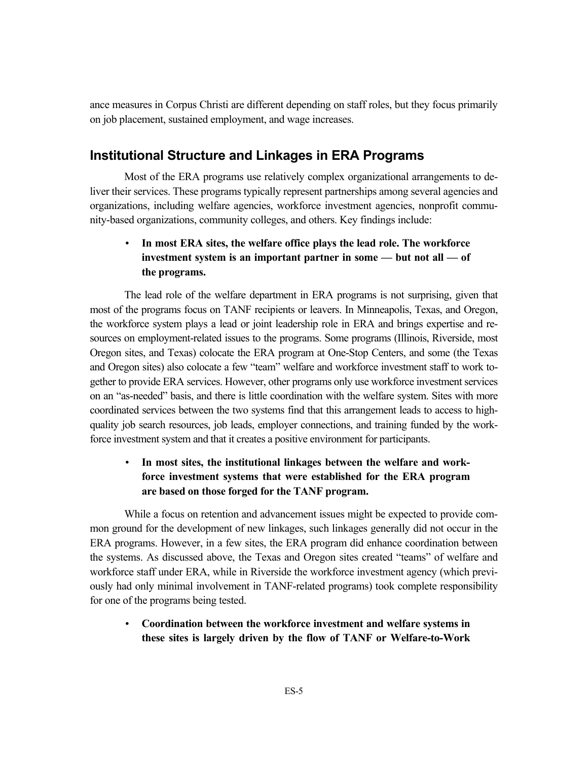ance measures in Corpus Christi are different depending on staff roles, but they focus primarily on job placement, sustained employment, and wage increases.

## **Institutional Structure and Linkages in ERA Programs**

Most of the ERA programs use relatively complex organizational arrangements to deliver their services. These programs typically represent partnerships among several agencies and organizations, including welfare agencies, workforce investment agencies, nonprofit community-based organizations, community colleges, and others. Key findings include:

#### • **In most ERA sites, the welfare office plays the lead role. The workforce investment system is an important partner in some — but not all — of the programs.**

The lead role of the welfare department in ERA programs is not surprising, given that most of the programs focus on TANF recipients or leavers. In Minneapolis, Texas, and Oregon, the workforce system plays a lead or joint leadership role in ERA and brings expertise and resources on employment-related issues to the programs. Some programs (Illinois, Riverside, most Oregon sites, and Texas) colocate the ERA program at One-Stop Centers, and some (the Texas and Oregon sites) also colocate a few "team" welfare and workforce investment staff to work together to provide ERA services. However, other programs only use workforce investment services on an "as-needed" basis, and there is little coordination with the welfare system. Sites with more coordinated services between the two systems find that this arrangement leads to access to highquality job search resources, job leads, employer connections, and training funded by the workforce investment system and that it creates a positive environment for participants.

#### • **In most sites, the institutional linkages between the welfare and workforce investment systems that were established for the ERA program are based on those forged for the TANF program.**

While a focus on retention and advancement issues might be expected to provide common ground for the development of new linkages, such linkages generally did not occur in the ERA programs. However, in a few sites, the ERA program did enhance coordination between the systems. As discussed above, the Texas and Oregon sites created "teams" of welfare and workforce staff under ERA, while in Riverside the workforce investment agency (which previously had only minimal involvement in TANF-related programs) took complete responsibility for one of the programs being tested.

• **Coordination between the workforce investment and welfare systems in these sites is largely driven by the flow of TANF or Welfare-to-Work**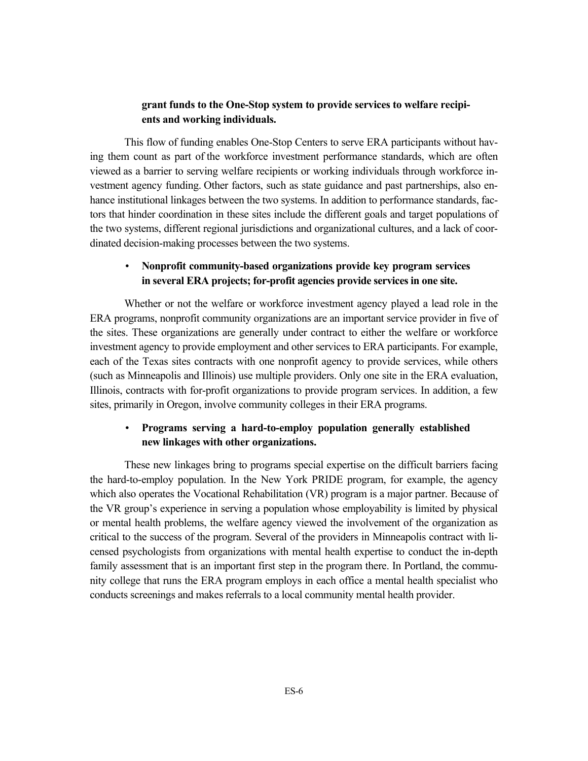#### **grant funds to the One-Stop system to provide services to welfare recipients and working individuals.**

This flow of funding enables One-Stop Centers to serve ERA participants without having them count as part of the workforce investment performance standards, which are often viewed as a barrier to serving welfare recipients or working individuals through workforce investment agency funding. Other factors, such as state guidance and past partnerships, also enhance institutional linkages between the two systems. In addition to performance standards, factors that hinder coordination in these sites include the different goals and target populations of the two systems, different regional jurisdictions and organizational cultures, and a lack of coordinated decision-making processes between the two systems.

#### • **Nonprofit community-based organizations provide key program services in several ERA projects; for-profit agencies provide services in one site.**

Whether or not the welfare or workforce investment agency played a lead role in the ERA programs, nonprofit community organizations are an important service provider in five of the sites. These organizations are generally under contract to either the welfare or workforce investment agency to provide employment and other services to ERA participants. For example, each of the Texas sites contracts with one nonprofit agency to provide services, while others (such as Minneapolis and Illinois) use multiple providers. Only one site in the ERA evaluation, Illinois, contracts with for-profit organizations to provide program services. In addition, a few sites, primarily in Oregon, involve community colleges in their ERA programs.

#### • **Programs serving a hard-to-employ population generally established new linkages with other organizations.**

These new linkages bring to programs special expertise on the difficult barriers facing the hard-to-employ population. In the New York PRIDE program, for example, the agency which also operates the Vocational Rehabilitation (VR) program is a major partner. Because of the VR group's experience in serving a population whose employability is limited by physical or mental health problems, the welfare agency viewed the involvement of the organization as critical to the success of the program. Several of the providers in Minneapolis contract with licensed psychologists from organizations with mental health expertise to conduct the in-depth family assessment that is an important first step in the program there. In Portland, the community college that runs the ERA program employs in each office a mental health specialist who conducts screenings and makes referrals to a local community mental health provider.